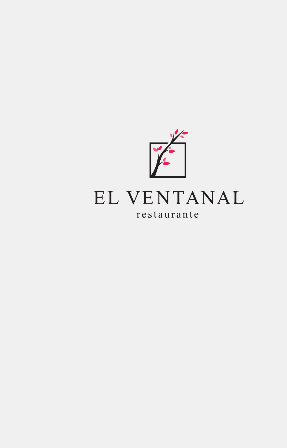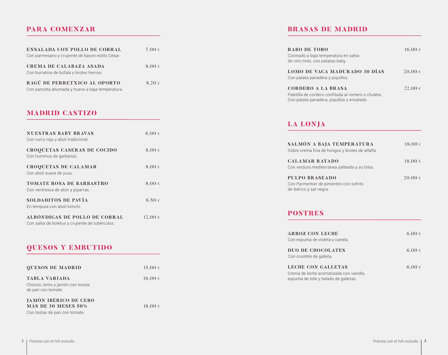## **PARA COMENZAR**

| <b>ENSALADA CON POLLO DE CORRAL</b>                                         | $7,00 \in$ |
|-----------------------------------------------------------------------------|------------|
| Con parmesano y crujiente de bacon estilo César.                            |            |
| <b>CREMA DE CALABAZA ASADA</b><br>Con burratina de búfala y brotes tiernos. | $8.00 \in$ |
| RAGÚ DE PERRETXICO AL OPORTO                                                | $8.20 \in$ |
| Con panceta ahumada y huevo a baja temperatura.                             |            |

### **MADRID CASTIZO**

| <b>NUESTRAS BABY BRAVAS</b><br>Con curry rojo y alioli tradicional.              | $6,00 \in$ |  |
|----------------------------------------------------------------------------------|------------|--|
| <b>CROQUETAS CASERAS DE COCIDO</b><br>Con hummus de garbanzo.                    | $8,00 \in$ |  |
| <b>CROQUETAS DE CALAMAR</b><br>Con alioli suave de yuzu.                         | 8,00€      |  |
| <b>TOMATE ROSA DE BARBASTRO</b><br>Con ventresca de atún y piparras.             | $8,00 \in$ |  |
| SOLDADITOS DE PAVÍA<br>En tempura con alioli kimchi.                             | $8,50 \in$ |  |
| ALBÓNDIGAS DE POLLO DE CORRAL<br>Con salsa de boletus y crujiente de tubérculos. | 12,00€     |  |

### **QUESOS Y EMBUTIDO**

| <b>QUESOS DE MADRID</b>                                                              | 15,00€      |
|--------------------------------------------------------------------------------------|-------------|
| <b>TABLA VARIADA</b><br>Chorizo, lomo y jamón con tostas<br>de pan con tomate.       | $16,00 \in$ |
| <b>JAMÓN IBÉRICO DE CEBO</b><br>MÁS DE 30 MESES 50%<br>Con tostas de pan con tomate. | 18,00€      |

## **BRASAS DE MADRID**

| RABO DE TORO<br>Cocinado a baja temperatura en salsa<br>de vino tinto, con patatas baby.                                | $16,00 \in$ |
|-------------------------------------------------------------------------------------------------------------------------|-------------|
| LOMO DE VACA MADURADO 30 DÍAS<br>Con patata panadera y piquillos.                                                       | $20,00 \in$ |
| CORDERO A LA BRASA<br>Paletilla de cordero confitada al romero o chuleta.<br>Con patata panadera, piquillos y ensalada. | $22,00 \in$ |

# **LA LONJA**

| SALMÓN A BAJA TEMPERATURA<br>Sobre crema fina de hongos y brotes de alfalfa.               | $18,00 \in$ |
|--------------------------------------------------------------------------------------------|-------------|
| <b>CALAMAR RAYADO</b><br>Con verdura mediterránea salteada y su tinta.                     | $18,00 \in$ |
| <b>PULPO BRASEADO</b><br>Con Parmentier de pimentón con sofrito<br>de ibérico y sal negra. | $20,00 \in$ |

**POSTRES**

| ARROZ CON LECHE<br>Con espuma de violeta y canela.                                                            | $6,00 \in$ |
|---------------------------------------------------------------------------------------------------------------|------------|
| <b>DUO DE CHOCOLATES</b><br>Con crumble de galleta.                                                           | $6,00 \in$ |
| <b>LECHE CON GALLETAS</b><br>Crema de leche aromatizada con vainilla,<br>espuma de tofe y helado de galletas. | $6,00 \in$ |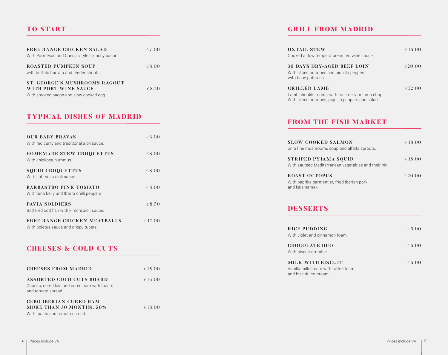### **TO START**

| FREE RANGE CHICKEN SALAD<br>With Parmesan and Caesar style crunchy bacon. | €7.00           | <b>OXTAIL STEW</b><br>Cooked at low temperature in red wine sauce |
|---------------------------------------------------------------------------|-----------------|-------------------------------------------------------------------|
| <b>ROASTED PUMPKIN SOUP</b>                                               | 68.00           | <b>30 DAYS DRY-AGED BEEF LOIN</b>                                 |
| with buffalo burrata and tender shoots.                                   |                 | With sliced potatoes and piquillo peppers.<br>with baby potatoes. |
| ST. GEORGE'S MUSHROOMS RAGOUT                                             |                 |                                                                   |
| WITH PORT WINE SAUCE                                                      | $\epsilon$ 8.20 | <b>GRILLED LAMB</b>                                               |
| With smoked bacon and slow cooked egg.                                    |                 | Lamb shoulder confit with rosemary or lamb                        |

### **TYPICAL DISHES OF MADRID**

| <b>OUR BABY BRAVAS</b><br>With red curry and traditional aioli sauce.      | € 6.00          |
|----------------------------------------------------------------------------|-----------------|
| <b>HOMEMADE STEW CROQUETTES</b><br>With chickpea hummus.                   | $\epsilon$ 8.00 |
| <b>SQUID CROQUETTES</b><br>With soft yuzu aioli sauce.                     | $\epsilon$ 8.00 |
| <b>BARBASTRO PINK TOMATO</b><br>With tuna belly and Ibarra chilli peppers. | $\epsilon$ 8.00 |
| PAVÍA SOLDIERS<br>Battered cod fish with kimchi aioli sauce.               | € 8.50          |
| FREE RANGE CHICKEN MEATBALLS<br>With boletus sauce and crispy tubers.      | € 12.00         |

### **CHEESES & COLD CUTS**

| <b>CHEESES FROM MADRID</b>                                                                             | € 15.00 |
|--------------------------------------------------------------------------------------------------------|---------|
| <b>ASSORTED COLD CUTS BOARD</b><br>Chorizo, cured loin and cured ham with toasts<br>and tomato spread. | € 16.00 |
| <b>CEBO IBERIAN CURED HAM</b><br><b>MORE THAN 30 MONTHS, 50%</b><br>With toasts and tomato spread.     | € 18.00 |

### **GRILL FROM MADRID**

| <b>OXTAIL STEW</b><br>Cooked at low temperature in red wine sauce                                                            | € 16.00 |
|------------------------------------------------------------------------------------------------------------------------------|---------|
| <b>30 DAYS DRY-AGED BEEF LOIN</b><br>With sliced potatoes and piquillo peppers.<br>with baby potatoes.                       | € 20.00 |
| <b>GRILLED LAMB</b><br>Lamb shoulder confit with rosemary or lamb chop.<br>With sliced potatoes, piquillo peppers and salad. | € 22.00 |

### **FROM THE FISH MARKET**

| <b>SLOW COOKED SALMON</b><br>on a fine mushrooms soup and alfalfa sprouts.             | € 18.00 |
|----------------------------------------------------------------------------------------|---------|
| STRIPED PYJAMA SQUID<br>With sautéed Mediterranean vegetables and their ink.           | € 18.00 |
| <b>ROAST OCTOPUS</b><br>With paprika parmentier, fried Iberian pork<br>and kala namak. | € 20.00 |

### **DESSERTS**

| <b>RICE PUDDING</b><br>With violet and cinnamon foam.                              | 6.00 |
|------------------------------------------------------------------------------------|------|
| <b>CHOCOLATE DUO</b><br>With biscuit crumble.                                      | 6.00 |
| MILK WITH BISCUIT<br>Vanilla milk cream with toffee foam<br>and biscuit ice-cream. | 6.00 |